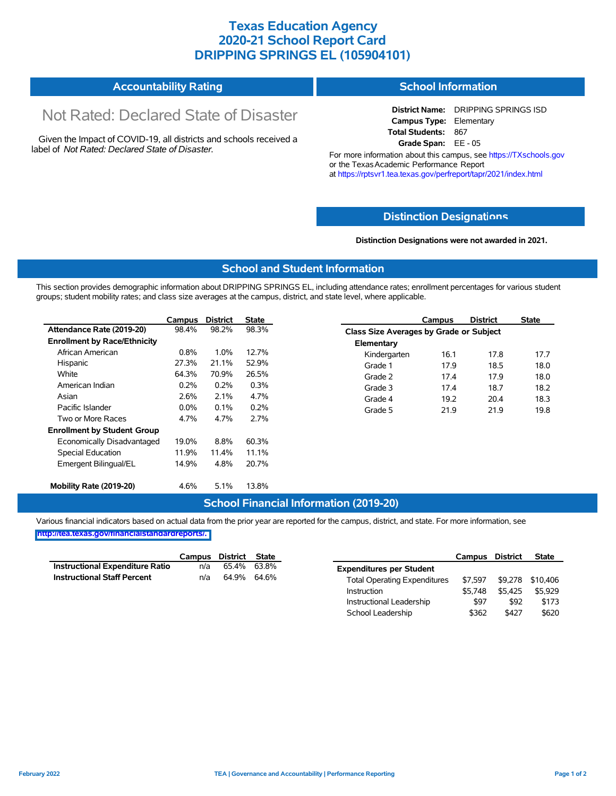## **Texas Education Agency 2020-21 School Report Card DRIPPING SPRINGS EL (105904101)**

| <b>Accountability Rating</b> | <b>School Information</b> |
|------------------------------|---------------------------|
|                              |                           |

# Not Rated: Declared State of Disaster

Given the Impact of COVID-19, all districts and schools received a label of *Not Rated: Declared State of Disaster.*

**District Name:** DRIPPING SPRINGS ISD **Campus Type:** Elementary **Total Students:** 867 **Grade Span:** EE - 05

For more information about this campus, see https://TXschools.gov or the Texas Academic Performance Report at https://rptsvr1.tea.texas.gov/perfreport/tapr/2021/index.html

#### **Distinction Designat[ions](https://TXschools.gov)**

**Distinction Designations were not awarded in 2021.**

School Leadership  $$362$  \$427 \$620

#### **School and Student Information**

This section provides demographic information about DRIPPING SPRINGS EL, including attendance rates; enrollment percentages for various student groups; student mobility rates; and class size averages at the campus, district, and state level, where applicable.

|                                     | Campus  | <b>District</b> | <b>State</b> |              | Campus                                  | <b>District</b> | <b>State</b> |  |  |
|-------------------------------------|---------|-----------------|--------------|--------------|-----------------------------------------|-----------------|--------------|--|--|
| Attendance Rate (2019-20)           | 98.4%   | 98.2%           | 98.3%        |              | Class Size Averages by Grade or Subject |                 |              |  |  |
| <b>Enrollment by Race/Ethnicity</b> |         |                 |              | Elementary   |                                         |                 |              |  |  |
| African American                    | 0.8%    | 1.0%            | 12.7%        | Kindergarten | 16.1                                    | 17.8            | 17.7         |  |  |
| Hispanic                            | 27.3%   | 21.1%           | 52.9%        | Grade 1      | 17.9                                    | 18.5            | 18.0         |  |  |
| White                               | 64.3%   | 70.9%           | 26.5%        | Grade 2      | 17.4                                    | 17.9            | 18.0         |  |  |
| American Indian                     | 0.2%    | 0.2%            | 0.3%         | Grade 3      | 17.4                                    | 18.7            | 18.2         |  |  |
| Asian                               | 2.6%    | 2.1%            | 4.7%         | Grade 4      | 19.2                                    | 20.4            | 18.3         |  |  |
| Pacific Islander                    | $0.0\%$ | 0.1%            | 0.2%         | Grade 5      | 21.9                                    | 21.9            | 19.8         |  |  |
| Two or More Races                   | 4.7%    | 4.7%            | 2.7%         |              |                                         |                 |              |  |  |
| <b>Enrollment by Student Group</b>  |         |                 |              |              |                                         |                 |              |  |  |
| Economically Disadvantaged          | 19.0%   | 8.8%            | 60.3%        |              |                                         |                 |              |  |  |
| Special Education                   | 11.9%   | 11.4%           | 11.1%        |              |                                         |                 |              |  |  |
| Emergent Bilingual/EL               | 14.9%   | 4.8%            | 20.7%        |              |                                         |                 |              |  |  |
|                                     |         |                 |              |              |                                         |                 |              |  |  |
| Mobility Rate (2019-20)             | 4.6%    | 5.1%            | 13.8%        |              |                                         |                 |              |  |  |

#### **School Financial Information (2019-20)**

Various financial indicators based on actual data from the prior year are reported for the campus, district, and state. For more information, see

**[http://tea.texas.gov/financialstandardreports/.](http://tea.texas.gov/financialstandardreports/)**

|                                    | Campus | District State |       |                                     | Campus  | <b>District</b> | <b>State</b>     |
|------------------------------------|--------|----------------|-------|-------------------------------------|---------|-----------------|------------------|
| Instructional Expenditure Ratio    | n/a    | 65.4%          | 63.8% | <b>Expenditures per Student</b>     |         |                 |                  |
| <b>Instructional Staff Percent</b> | n/a    | 64.9% 64.6%    |       | <b>Total Operating Expenditures</b> | \$7.597 |                 | \$9,278 \$10,406 |
|                                    |        |                |       | Instruction                         | \$5.748 | \$5.425         | \$5.929          |
|                                    |        |                |       | Instructional Leadership            | \$97    | \$92            | \$173            |